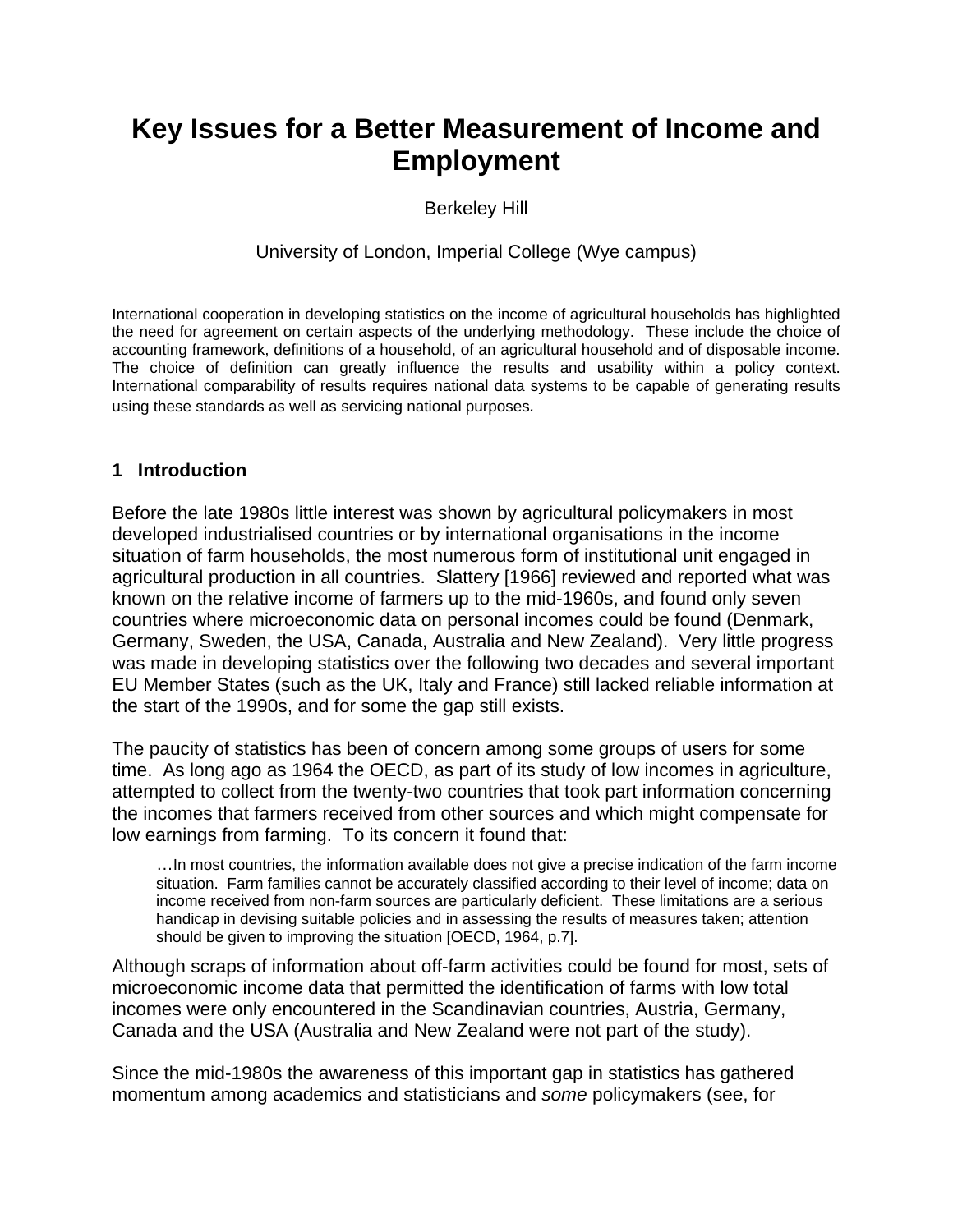# **Key Issues for a Better Measurement of Income and Employment**

Berkeley Hill

### University of London, Imperial College (Wye campus)

International cooperation in developing statistics on the income of agricultural households has highlighted the need for agreement on certain aspects of the underlying methodology. These include the choice of accounting framework, definitions of a household, of an agricultural household and of disposable income. The choice of definition can greatly influence the results and usability within a policy context. International comparability of results requires national data systems to be capable of generating results using these standards as well as servicing national purposes*.* 

#### **1 Introduction**

Before the late 1980s little interest was shown by agricultural policymakers in most developed industrialised countries or by international organisations in the income situation of farm households, the most numerous form of institutional unit engaged in agricultural production in all countries. Slattery [1966] reviewed and reported what was known on the relative income of farmers up to the mid-1960s, and found only seven countries where microeconomic data on personal incomes could be found (Denmark, Germany, Sweden, the USA, Canada, Australia and New Zealand). Very little progress was made in developing statistics over the following two decades and several important EU Member States (such as the UK, Italy and France) still lacked reliable information at the start of the 1990s, and for some the gap still exists.

The paucity of statistics has been of concern among some groups of users for some time. As long ago as 1964 the OECD, as part of its study of low incomes in agriculture, attempted to collect from the twenty-two countries that took part information concerning the incomes that farmers received from other sources and which might compensate for low earnings from farming. To its concern it found that:

…In most countries, the information available does not give a precise indication of the farm income situation. Farm families cannot be accurately classified according to their level of income; data on income received from non-farm sources are particularly deficient. These limitations are a serious handicap in devising suitable policies and in assessing the results of measures taken; attention should be given to improving the situation [OECD, 1964, p.7].

Although scraps of information about off-farm activities could be found for most, sets of microeconomic income data that permitted the identification of farms with low total incomes were only encountered in the Scandinavian countries, Austria, Germany, Canada and the USA (Australia and New Zealand were not part of the study).

Since the mid-1980s the awareness of this important gap in statistics has gathered momentum among academics and statisticians and *some* policymakers (see, for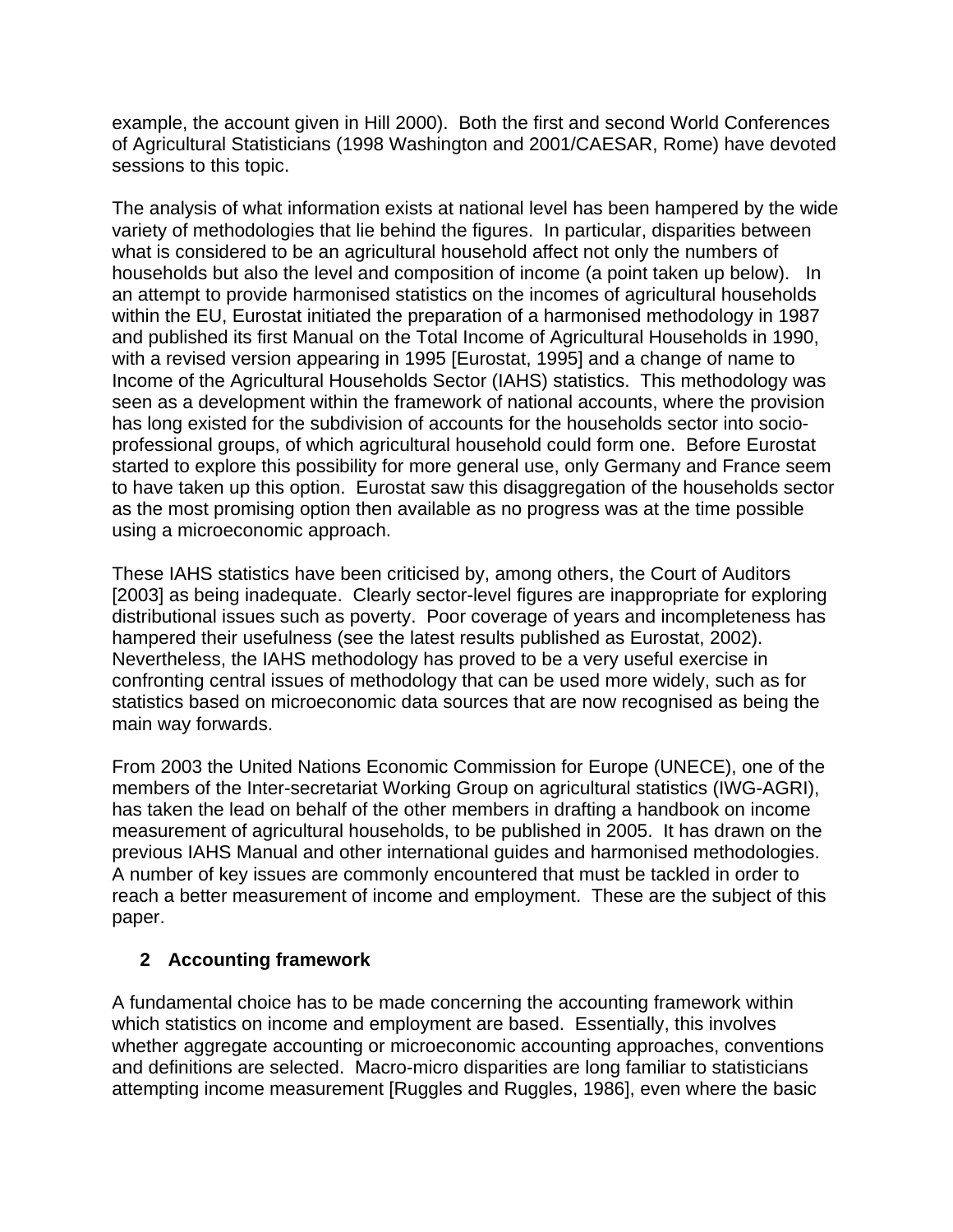example, the account given in Hill 2000). Both the first and second World Conferences of Agricultural Statisticians (1998 Washington and 2001/CAESAR, Rome) have devoted sessions to this topic.

The analysis of what information exists at national level has been hampered by the wide variety of methodologies that lie behind the figures. In particular, disparities between what is considered to be an agricultural household affect not only the numbers of households but also the level and composition of income (a point taken up below). In an attempt to provide harmonised statistics on the incomes of agricultural households within the EU, Eurostat initiated the preparation of a harmonised methodology in 1987 and published its first Manual on the Total Income of Agricultural Households in 1990, with a revised version appearing in 1995 [Eurostat, 1995] and a change of name to Income of the Agricultural Households Sector (IAHS) statistics. This methodology was seen as a development within the framework of national accounts, where the provision has long existed for the subdivision of accounts for the households sector into socioprofessional groups, of which agricultural household could form one. Before Eurostat started to explore this possibility for more general use, only Germany and France seem to have taken up this option. Eurostat saw this disaggregation of the households sector as the most promising option then available as no progress was at the time possible using a microeconomic approach.

These IAHS statistics have been criticised by, among others, the Court of Auditors [2003] as being inadequate. Clearly sector-level figures are inappropriate for exploring distributional issues such as poverty. Poor coverage of years and incompleteness has hampered their usefulness (see the latest results published as Eurostat, 2002). Nevertheless, the IAHS methodology has proved to be a very useful exercise in confronting central issues of methodology that can be used more widely, such as for statistics based on microeconomic data sources that are now recognised as being the main way forwards.

From 2003 the United Nations Economic Commission for Europe (UNECE), one of the members of the Inter-secretariat Working Group on agricultural statistics (IWG-AGRI), has taken the lead on behalf of the other members in drafting a handbook on income measurement of agricultural households, to be published in 2005. It has drawn on the previous IAHS Manual and other international guides and harmonised methodologies. A number of key issues are commonly encountered that must be tackled in order to reach a better measurement of income and employment. These are the subject of this paper.

# **2 Accounting framework**

A fundamental choice has to be made concerning the accounting framework within which statistics on income and employment are based. Essentially, this involves whether aggregate accounting or microeconomic accounting approaches, conventions and definitions are selected. Macro-micro disparities are long familiar to statisticians attempting income measurement [Ruggles and Ruggles, 1986], even where the basic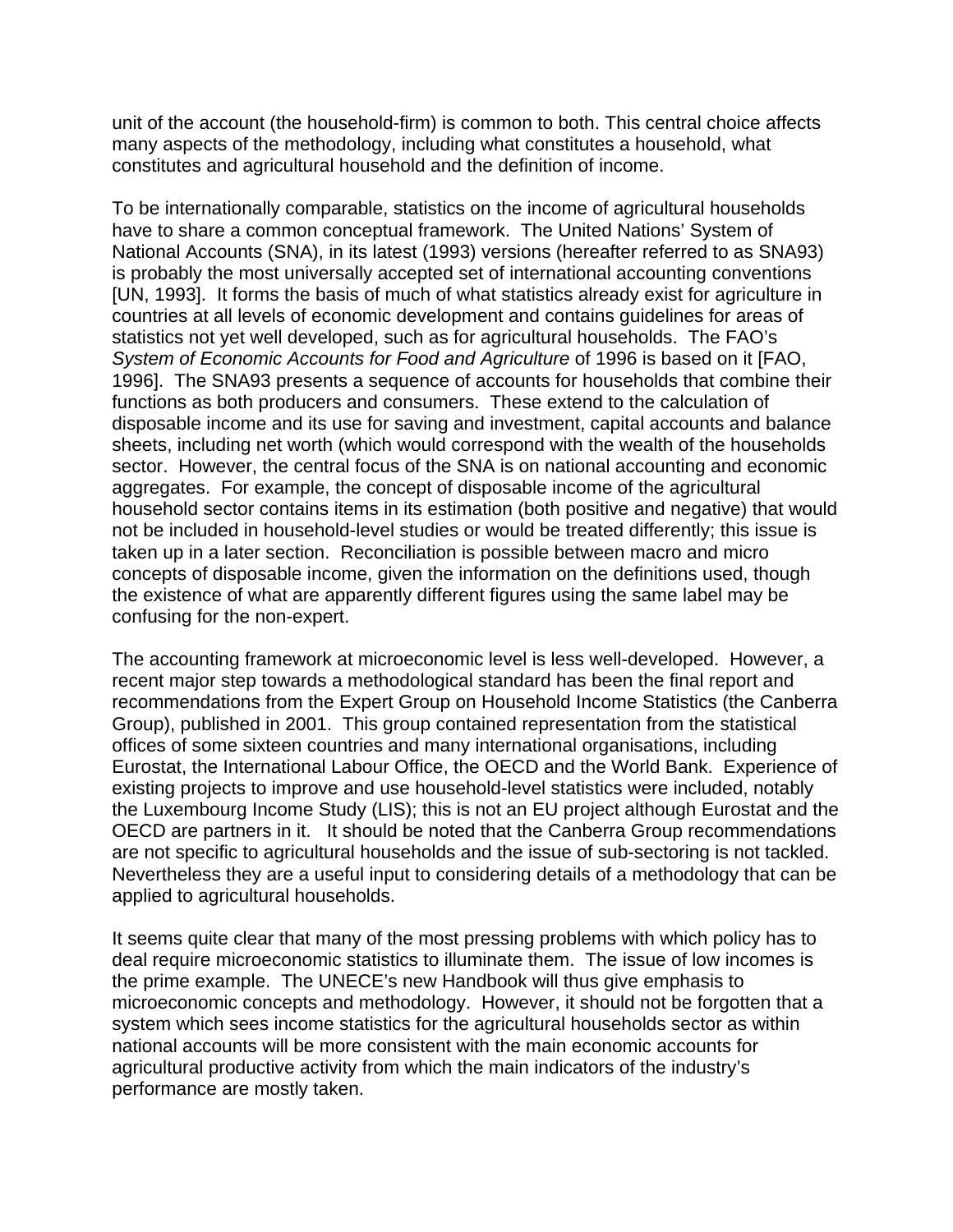unit of the account (the household-firm) is common to both. This central choice affects many aspects of the methodology, including what constitutes a household, what constitutes and agricultural household and the definition of income.

To be internationally comparable, statistics on the income of agricultural households have to share a common conceptual framework. The United Nations' System of National Accounts (SNA), in its latest (1993) versions (hereafter referred to as SNA93) is probably the most universally accepted set of international accounting conventions [UN, 1993]. It forms the basis of much of what statistics already exist for agriculture in countries at all levels of economic development and contains guidelines for areas of statistics not yet well developed, such as for agricultural households. The FAO's *System of Economic Accounts for Food and Agriculture* of 1996 is based on it [FAO, 1996]. The SNA93 presents a sequence of accounts for households that combine their functions as both producers and consumers. These extend to the calculation of disposable income and its use for saving and investment, capital accounts and balance sheets, including net worth (which would correspond with the wealth of the households sector. However, the central focus of the SNA is on national accounting and economic aggregates. For example, the concept of disposable income of the agricultural household sector contains items in its estimation (both positive and negative) that would not be included in household-level studies or would be treated differently; this issue is taken up in a later section. Reconciliation is possible between macro and micro concepts of disposable income, given the information on the definitions used, though the existence of what are apparently different figures using the same label may be confusing for the non-expert.

The accounting framework at microeconomic level is less well-developed. However, a recent major step towards a methodological standard has been the final report and recommendations from the Expert Group on Household Income Statistics (the Canberra Group), published in 2001. This group contained representation from the statistical offices of some sixteen countries and many international organisations, including Eurostat, the International Labour Office, the OECD and the World Bank. Experience of existing projects to improve and use household-level statistics were included, notably the Luxembourg Income Study (LIS); this is not an EU project although Eurostat and the OECD are partners in it. It should be noted that the Canberra Group recommendations are not specific to agricultural households and the issue of sub-sectoring is not tackled. Nevertheless they are a useful input to considering details of a methodology that can be applied to agricultural households.

It seems quite clear that many of the most pressing problems with which policy has to deal require microeconomic statistics to illuminate them. The issue of low incomes is the prime example. The UNECE's new Handbook will thus give emphasis to microeconomic concepts and methodology. However, it should not be forgotten that a system which sees income statistics for the agricultural households sector as within national accounts will be more consistent with the main economic accounts for agricultural productive activity from which the main indicators of the industry's performance are mostly taken.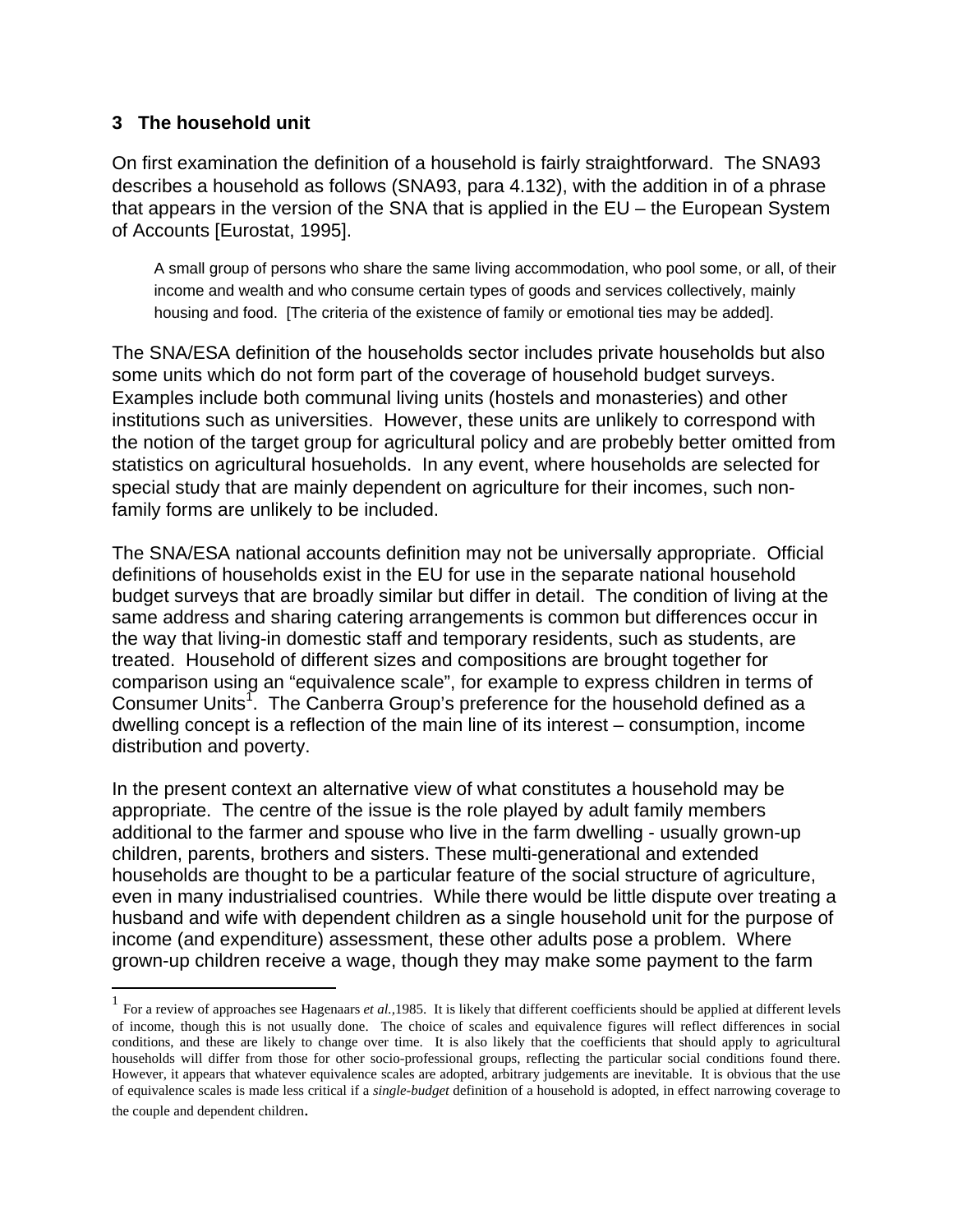### **3 The household unit**

 $\overline{a}$ 

On first examination the definition of a household is fairly straightforward. The SNA93 describes a household as follows (SNA93, para 4.132), with the addition in of a phrase that appears in the version of the SNA that is applied in the EU – the European System of Accounts [Eurostat, 1995].

A small group of persons who share the same living accommodation, who pool some, or all, of their income and wealth and who consume certain types of goods and services collectively, mainly housing and food. [The criteria of the existence of family or emotional ties may be added].

The SNA/ESA definition of the households sector includes private households but also some units which do not form part of the coverage of household budget surveys. Examples include both communal living units (hostels and monasteries) and other institutions such as universities. However, these units are unlikely to correspond with the notion of the target group for agricultural policy and are probebly better omitted from statistics on agricultural hosueholds. In any event, where households are selected for special study that are mainly dependent on agriculture for their incomes, such nonfamily forms are unlikely to be included.

The SNA/ESA national accounts definition may not be universally appropriate. Official definitions of households exist in the EU for use in the separate national household budget surveys that are broadly similar but differ in detail. The condition of living at the same address and sharing catering arrangements is common but differences occur in the way that living-in domestic staff and temporary residents, such as students, are treated. Household of different sizes and compositions are brought together for comparison using an "equivalence scale", for example to express children in terms of Consumer Units<sup>1</sup>. The Canberra Group's preference for the household defined as a dwelling concept is a reflection of the main line of its interest – consumption, income distribution and poverty.

In the present context an alternative view of what constitutes a household may be appropriate. The centre of the issue is the role played by adult family members additional to the farmer and spouse who live in the farm dwelling - usually grown-up children, parents, brothers and sisters. These multi-generational and extended households are thought to be a particular feature of the social structure of agriculture, even in many industrialised countries. While there would be little dispute over treating a husband and wife with dependent children as a single household unit for the purpose of income (and expenditure) assessment, these other adults pose a problem. Where grown-up children receive a wage, though they may make some payment to the farm

<sup>&</sup>lt;sup>1</sup> For a review of approaches see Hagenaars *et al.*, 1985. It is likely that different coefficients should be applied at different levels of income, though this is not usually done. The choice of scales and equivalence figures will reflect differences in social conditions, and these are likely to change over time. It is also likely that the coefficients that should apply to agricultural households will differ from those for other socio-professional groups, reflecting the particular social conditions found there. However, it appears that whatever equivalence scales are adopted, arbitrary judgements are inevitable. It is obvious that the use of equivalence scales is made less critical if a *single-budget* definition of a household is adopted, in effect narrowing coverage to the couple and dependent children.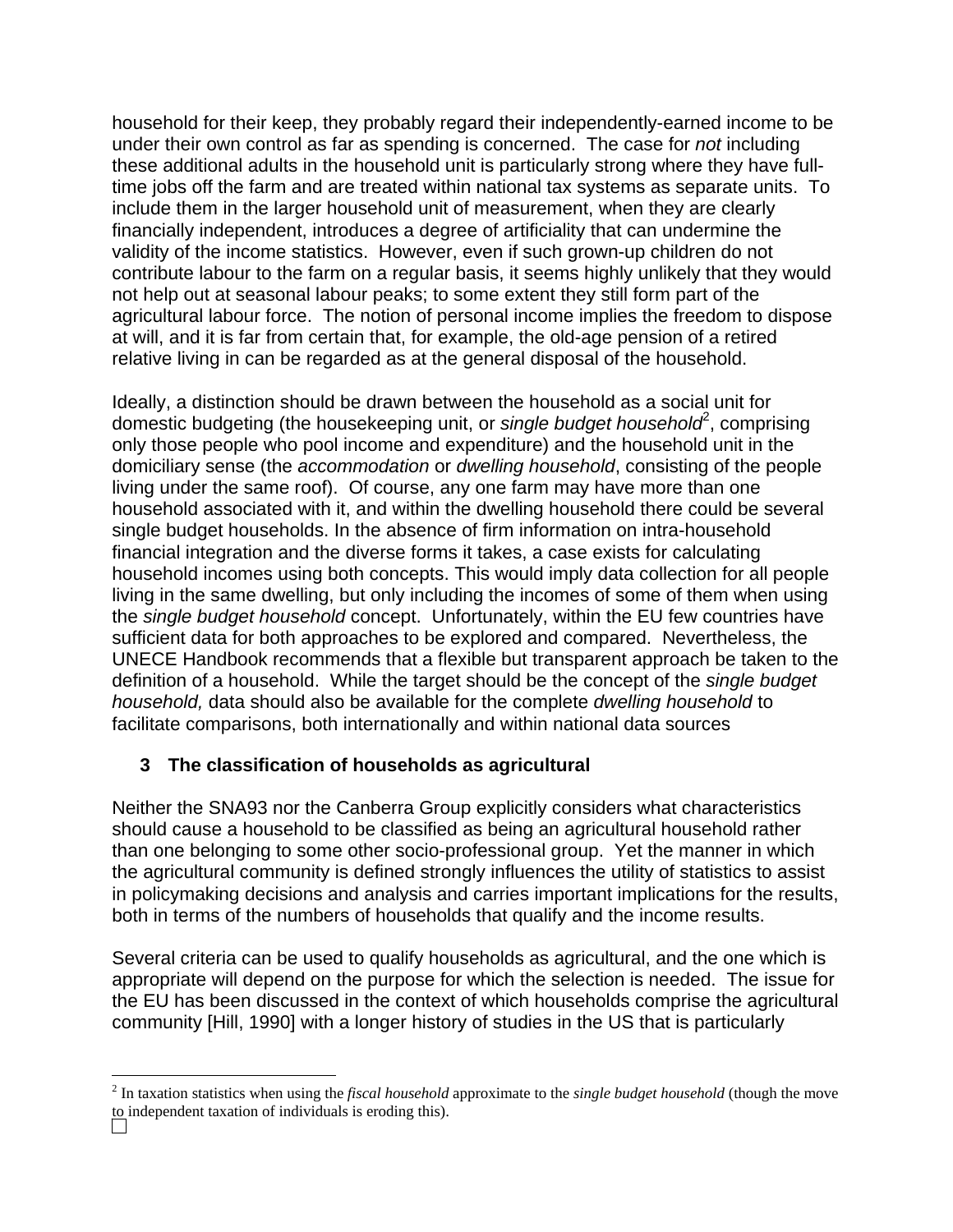household for their keep, they probably regard their independently-earned income to be under their own control as far as spending is concerned. The case for *not* including these additional adults in the household unit is particularly strong where they have fulltime jobs off the farm and are treated within national tax systems as separate units. To include them in the larger household unit of measurement, when they are clearly financially independent, introduces a degree of artificiality that can undermine the validity of the income statistics. However, even if such grown-up children do not contribute labour to the farm on a regular basis, it seems highly unlikely that they would not help out at seasonal labour peaks; to some extent they still form part of the agricultural labour force. The notion of personal income implies the freedom to dispose at will, and it is far from certain that, for example, the old-age pension of a retired relative living in can be regarded as at the general disposal of the household.

Ideally, a distinction should be drawn between the household as a social unit for domestic budgeting (the housekeeping unit, or single budget household<sup>2</sup>, comprising only those people who pool income and expenditure) and the household unit in the domiciliary sense (the *accommodation* or *dwelling household*, consisting of the people living under the same roof). Of course, any one farm may have more than one household associated with it, and within the dwelling household there could be several single budget households. In the absence of firm information on intra-household financial integration and the diverse forms it takes, a case exists for calculating household incomes using both concepts. This would imply data collection for all people living in the same dwelling, but only including the incomes of some of them when using the *single budget household* concept. Unfortunately, within the EU few countries have sufficient data for both approaches to be explored and compared. Nevertheless, the UNECE Handbook recommends that a flexible but transparent approach be taken to the definition of a household. While the target should be the concept of the *single budget household,* data should also be available for the complete *dwelling household* to facilitate comparisons, both internationally and within national data sources

# **3 The classification of households as agricultural**

 $\overline{a}$ 

Neither the SNA93 nor the Canberra Group explicitly considers what characteristics should cause a household to be classified as being an agricultural household rather than one belonging to some other socio-professional group. Yet the manner in which the agricultural community is defined strongly influences the utility of statistics to assist in policymaking decisions and analysis and carries important implications for the results, both in terms of the numbers of households that qualify and the income results.

Several criteria can be used to qualify households as agricultural, and the one which is appropriate will depend on the purpose for which the selection is needed. The issue for the EU has been discussed in the context of which households comprise the agricultural community [Hill, 1990] with a longer history of studies in the US that is particularly

<sup>2</sup> In taxation statistics when using the *fiscal household* approximate to the *single budget household* (though the move to independent taxation of individuals is eroding this).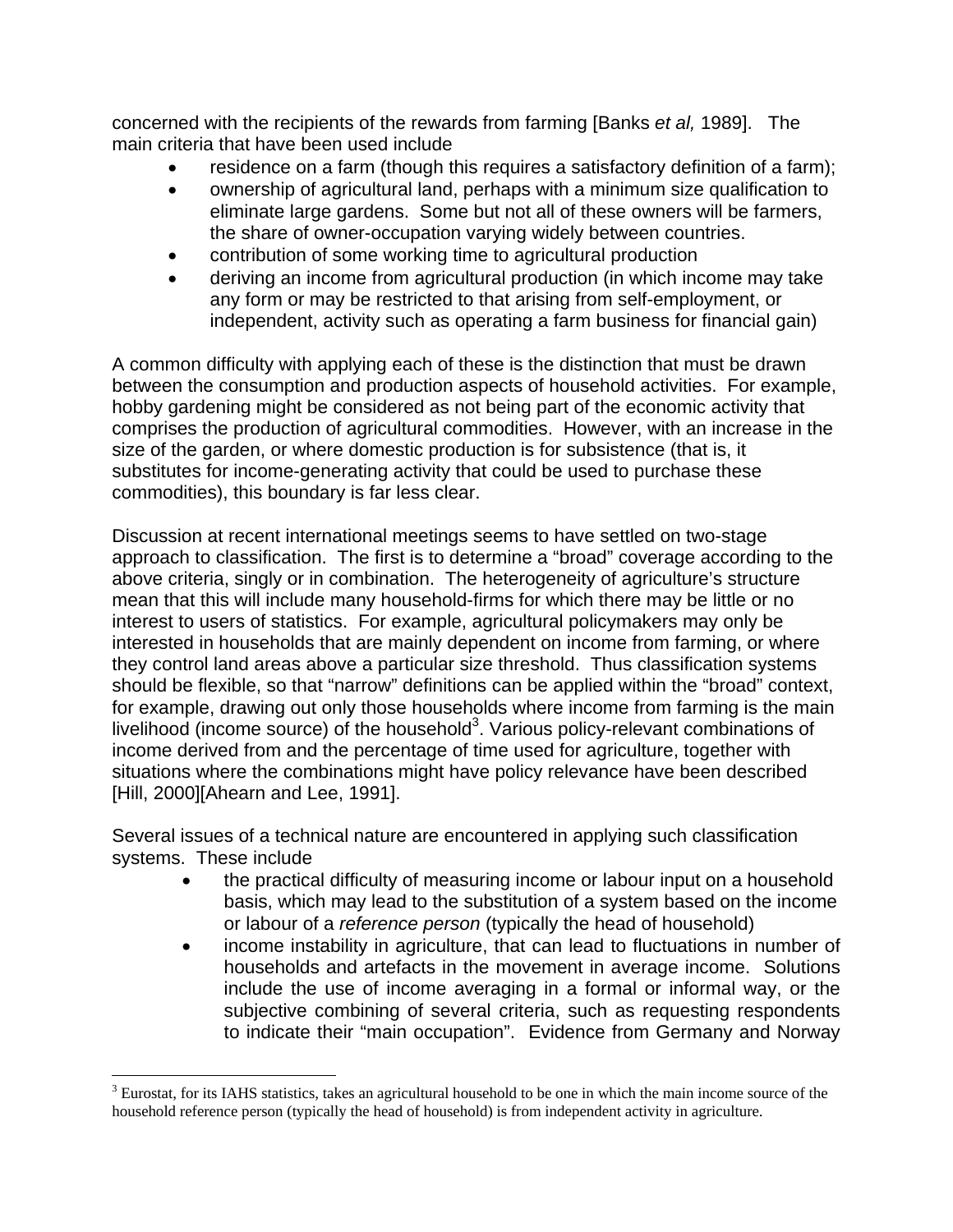concerned with the recipients of the rewards from farming [Banks *et al,* 1989]. The main criteria that have been used include

- residence on a farm (though this requires a satisfactory definition of a farm);
- ownership of agricultural land, perhaps with a minimum size qualification to eliminate large gardens. Some but not all of these owners will be farmers, the share of owner-occupation varying widely between countries.
- contribution of some working time to agricultural production
- deriving an income from agricultural production (in which income may take any form or may be restricted to that arising from self-employment, or independent, activity such as operating a farm business for financial gain)

A common difficulty with applying each of these is the distinction that must be drawn between the consumption and production aspects of household activities. For example, hobby gardening might be considered as not being part of the economic activity that comprises the production of agricultural commodities. However, with an increase in the size of the garden, or where domestic production is for subsistence (that is, it substitutes for income-generating activity that could be used to purchase these commodities), this boundary is far less clear.

Discussion at recent international meetings seems to have settled on two-stage approach to classification. The first is to determine a "broad" coverage according to the above criteria, singly or in combination. The heterogeneity of agriculture's structure mean that this will include many household-firms for which there may be little or no interest to users of statistics. For example, agricultural policymakers may only be interested in households that are mainly dependent on income from farming, or where they control land areas above a particular size threshold. Thus classification systems should be flexible, so that "narrow" definitions can be applied within the "broad" context, for example, drawing out only those households where income from farming is the main livelihood (income source) of the household<sup>3</sup>. Various policy-relevant combinations of income derived from and the percentage of time used for agriculture, together with situations where the combinations might have policy relevance have been described [Hill, 2000][Ahearn and Lee, 1991].

Several issues of a technical nature are encountered in applying such classification systems. These include

- the practical difficulty of measuring income or labour input on a household basis, which may lead to the substitution of a system based on the income or labour of a *reference person* (typically the head of household)
- income instability in agriculture, that can lead to fluctuations in number of households and artefacts in the movement in average income. Solutions include the use of income averaging in a formal or informal way, or the subjective combining of several criteria, such as requesting respondents to indicate their "main occupation". Evidence from Germany and Norway

 $\overline{a}$ 

 $3$  Eurostat, for its IAHS statistics, takes an agricultural household to be one in which the main income source of the household reference person (typically the head of household) is from independent activity in agriculture.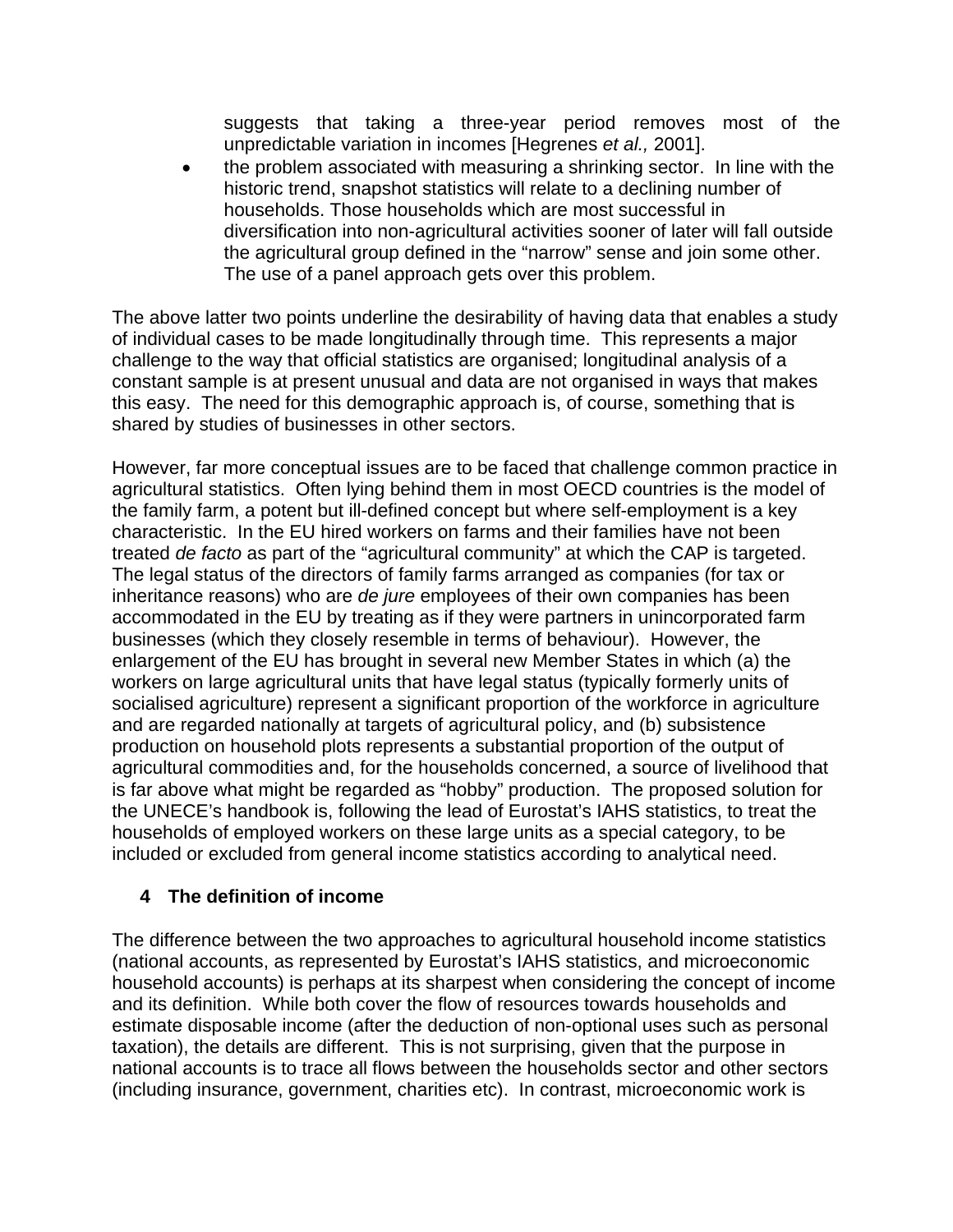suggests that taking a three-year period removes most of the unpredictable variation in incomes [Hegrenes *et al.,* 2001].

• the problem associated with measuring a shrinking sector. In line with the historic trend, snapshot statistics will relate to a declining number of households. Those households which are most successful in diversification into non-agricultural activities sooner of later will fall outside the agricultural group defined in the "narrow" sense and join some other. The use of a panel approach gets over this problem.

The above latter two points underline the desirability of having data that enables a study of individual cases to be made longitudinally through time. This represents a major challenge to the way that official statistics are organised; longitudinal analysis of a constant sample is at present unusual and data are not organised in ways that makes this easy. The need for this demographic approach is, of course, something that is shared by studies of businesses in other sectors.

However, far more conceptual issues are to be faced that challenge common practice in agricultural statistics. Often lying behind them in most OECD countries is the model of the family farm, a potent but ill-defined concept but where self-employment is a key characteristic. In the EU hired workers on farms and their families have not been treated *de facto* as part of the "agricultural community" at which the CAP is targeted. The legal status of the directors of family farms arranged as companies (for tax or inheritance reasons) who are *de jure* employees of their own companies has been accommodated in the EU by treating as if they were partners in unincorporated farm businesses (which they closely resemble in terms of behaviour). However, the enlargement of the EU has brought in several new Member States in which (a) the workers on large agricultural units that have legal status (typically formerly units of socialised agriculture) represent a significant proportion of the workforce in agriculture and are regarded nationally at targets of agricultural policy, and (b) subsistence production on household plots represents a substantial proportion of the output of agricultural commodities and, for the households concerned, a source of livelihood that is far above what might be regarded as "hobby" production. The proposed solution for the UNECE's handbook is, following the lead of Eurostat's IAHS statistics, to treat the households of employed workers on these large units as a special category, to be included or excluded from general income statistics according to analytical need.

# **4 The definition of income**

The difference between the two approaches to agricultural household income statistics (national accounts, as represented by Eurostat's IAHS statistics, and microeconomic household accounts) is perhaps at its sharpest when considering the concept of income and its definition. While both cover the flow of resources towards households and estimate disposable income (after the deduction of non-optional uses such as personal taxation), the details are different. This is not surprising, given that the purpose in national accounts is to trace all flows between the households sector and other sectors (including insurance, government, charities etc). In contrast, microeconomic work is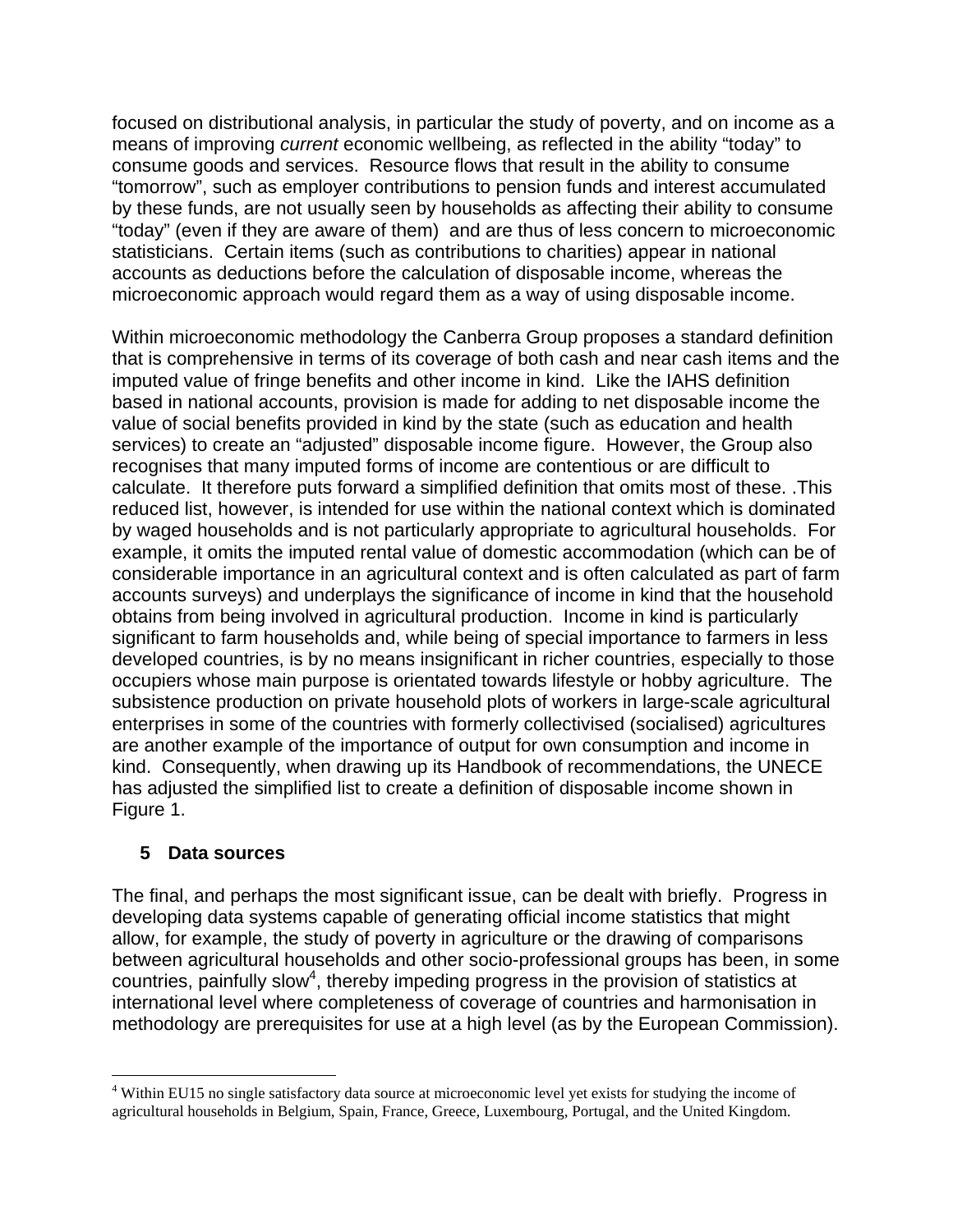focused on distributional analysis, in particular the study of poverty, and on income as a means of improving *current* economic wellbeing, as reflected in the ability "today" to consume goods and services. Resource flows that result in the ability to consume "tomorrow", such as employer contributions to pension funds and interest accumulated by these funds, are not usually seen by households as affecting their ability to consume "today" (even if they are aware of them) and are thus of less concern to microeconomic statisticians. Certain items (such as contributions to charities) appear in national accounts as deductions before the calculation of disposable income, whereas the microeconomic approach would regard them as a way of using disposable income.

Within microeconomic methodology the Canberra Group proposes a standard definition that is comprehensive in terms of its coverage of both cash and near cash items and the imputed value of fringe benefits and other income in kind. Like the IAHS definition based in national accounts, provision is made for adding to net disposable income the value of social benefits provided in kind by the state (such as education and health services) to create an "adjusted" disposable income figure. However, the Group also recognises that many imputed forms of income are contentious or are difficult to calculate. It therefore puts forward a simplified definition that omits most of these. .This reduced list, however, is intended for use within the national context which is dominated by waged households and is not particularly appropriate to agricultural households. For example, it omits the imputed rental value of domestic accommodation (which can be of considerable importance in an agricultural context and is often calculated as part of farm accounts surveys) and underplays the significance of income in kind that the household obtains from being involved in agricultural production. Income in kind is particularly significant to farm households and, while being of special importance to farmers in less developed countries, is by no means insignificant in richer countries, especially to those occupiers whose main purpose is orientated towards lifestyle or hobby agriculture. The subsistence production on private household plots of workers in large-scale agricultural enterprises in some of the countries with formerly collectivised (socialised) agricultures are another example of the importance of output for own consumption and income in kind. Consequently, when drawing up its Handbook of recommendations, the UNECE has adjusted the simplified list to create a definition of disposable income shown in Figure 1.

# **5 Data sources**

 $\overline{a}$ 

The final, and perhaps the most significant issue, can be dealt with briefly. Progress in developing data systems capable of generating official income statistics that might allow, for example, the study of poverty in agriculture or the drawing of comparisons between agricultural households and other socio-professional groups has been, in some countries, painfully slow<sup>4</sup>, thereby impeding progress in the provision of statistics at international level where completeness of coverage of countries and harmonisation in methodology are prerequisites for use at a high level (as by the European Commission).

<sup>&</sup>lt;sup>4</sup> Within EU15 no single satisfactory data source at microeconomic level yet exists for studying the income of agricultural households in Belgium, Spain, France, Greece, Luxembourg, Portugal, and the United Kingdom.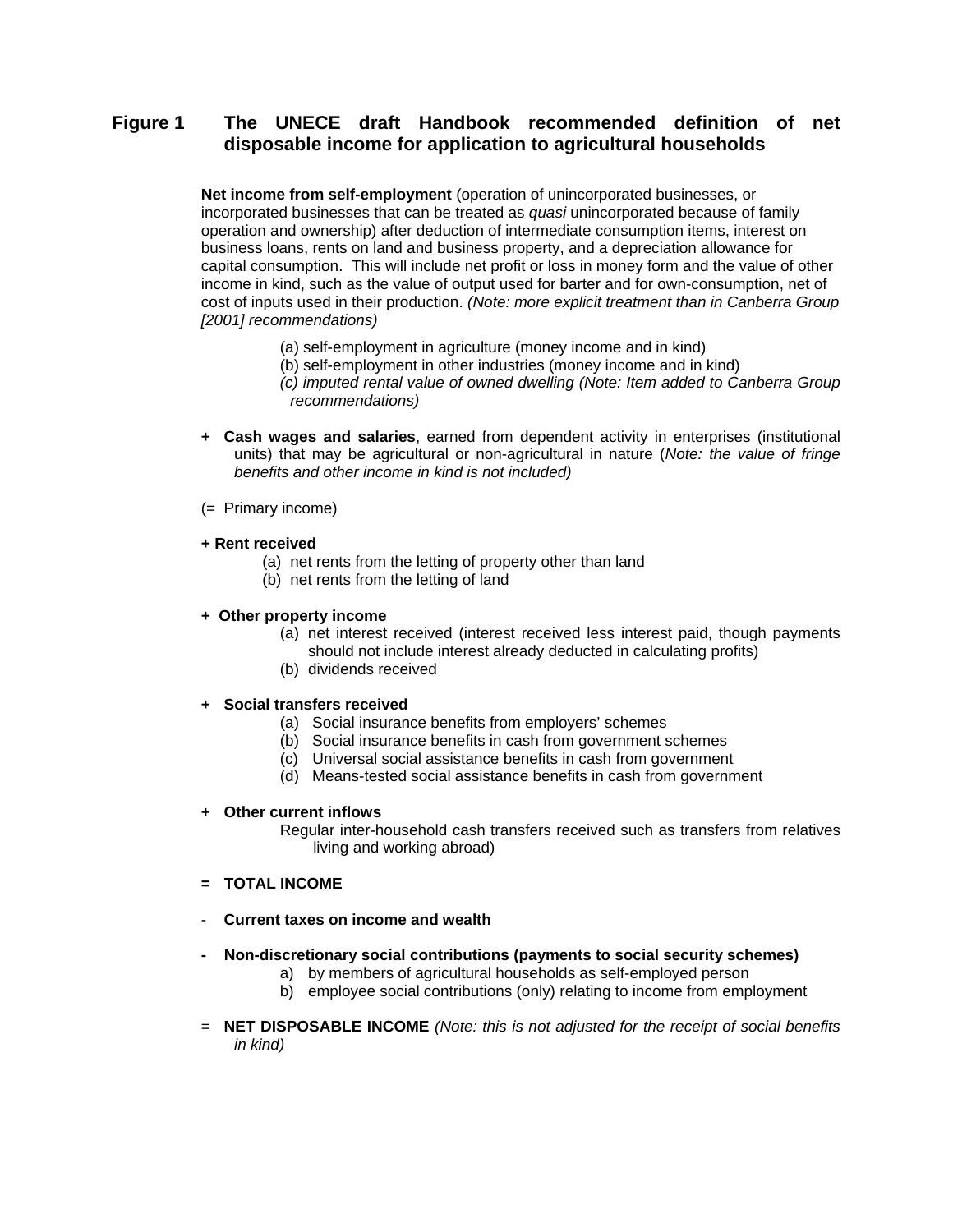#### **Figure 1 The UNECE draft Handbook recommended definition of net disposable income for application to agricultural households**

**Net income from self-employment** (operation of unincorporated businesses, or incorporated businesses that can be treated as *quasi* unincorporated because of family operation and ownership) after deduction of intermediate consumption items, interest on business loans, rents on land and business property, and a depreciation allowance for capital consumption. This will include net profit or loss in money form and the value of other income in kind, such as the value of output used for barter and for own-consumption, net of cost of inputs used in their production. *(Note: more explicit treatment than in Canberra Group [2001] recommendations)*

- (a) self-employment in agriculture (money income and in kind)
- (b) self-employment in other industries (money income and in kind)
- *(c) imputed rental value of owned dwelling (Note: Item added to Canberra Group recommendations)*
- **+ Cash wages and salaries**, earned from dependent activity in enterprises (institutional units) that may be agricultural or non-agricultural in nature (*Note: the value of fringe benefits and other income in kind is not included)*
- (= Primary income)
- **+ Rent received** 
	- (a) net rents from the letting of property other than land
	- (b) net rents from the letting of land
- **+ Other property income** 
	- (a) net interest received (interest received less interest paid, though payments should not include interest already deducted in calculating profits)
	- (b) dividends received

#### **+ Social transfers received**

- (a) Social insurance benefits from employers' schemes
- (b) Social insurance benefits in cash from government schemes
- (c) Universal social assistance benefits in cash from government
- (d) Means-tested social assistance benefits in cash from government

#### **+ Other current inflows**

Regular inter-household cash transfers received such as transfers from relatives living and working abroad)

#### **= TOTAL INCOME**

- **Current taxes on income and wealth**
- **Non-discretionary social contributions (payments to social security schemes)** 
	- a) by members of agricultural households as self-employed person
	- b) employee social contributions (only) relating to income from employment
- = **NET DISPOSABLE INCOME** *(Note: this is not adjusted for the receipt of social benefits in kind)*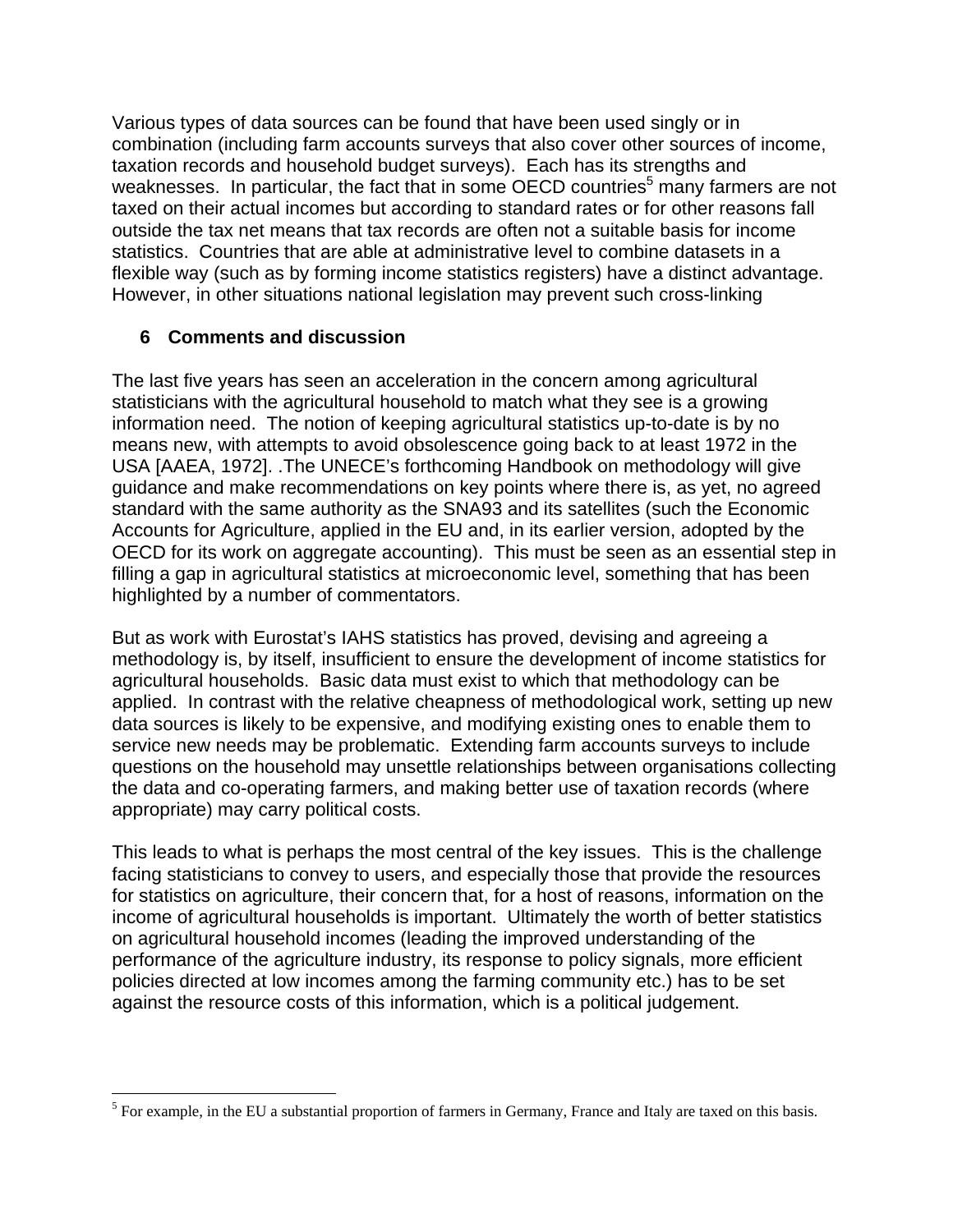Various types of data sources can be found that have been used singly or in combination (including farm accounts surveys that also cover other sources of income, taxation records and household budget surveys). Each has its strengths and weaknesses. In particular, the fact that in some OECD countries<sup>5</sup> many farmers are not taxed on their actual incomes but according to standard rates or for other reasons fall outside the tax net means that tax records are often not a suitable basis for income statistics. Countries that are able at administrative level to combine datasets in a flexible way (such as by forming income statistics registers) have a distinct advantage. However, in other situations national legislation may prevent such cross-linking

# **6 Comments and discussion**

The last five years has seen an acceleration in the concern among agricultural statisticians with the agricultural household to match what they see is a growing information need. The notion of keeping agricultural statistics up-to-date is by no means new, with attempts to avoid obsolescence going back to at least 1972 in the USA [AAEA, 1972]. .The UNECE's forthcoming Handbook on methodology will give guidance and make recommendations on key points where there is, as yet, no agreed standard with the same authority as the SNA93 and its satellites (such the Economic Accounts for Agriculture, applied in the EU and, in its earlier version, adopted by the OECD for its work on aggregate accounting). This must be seen as an essential step in filling a gap in agricultural statistics at microeconomic level, something that has been highlighted by a number of commentators.

But as work with Eurostat's IAHS statistics has proved, devising and agreeing a methodology is, by itself, insufficient to ensure the development of income statistics for agricultural households. Basic data must exist to which that methodology can be applied. In contrast with the relative cheapness of methodological work, setting up new data sources is likely to be expensive, and modifying existing ones to enable them to service new needs may be problematic. Extending farm accounts surveys to include questions on the household may unsettle relationships between organisations collecting the data and co-operating farmers, and making better use of taxation records (where appropriate) may carry political costs.

This leads to what is perhaps the most central of the key issues. This is the challenge facing statisticians to convey to users, and especially those that provide the resources for statistics on agriculture, their concern that, for a host of reasons, information on the income of agricultural households is important. Ultimately the worth of better statistics on agricultural household incomes (leading the improved understanding of the performance of the agriculture industry, its response to policy signals, more efficient policies directed at low incomes among the farming community etc.) has to be set against the resource costs of this information, which is a political judgement.

 $\overline{a}$  $<sup>5</sup>$  For example, in the EU a substantial proportion of farmers in Germany, France and Italy are taxed on this basis.</sup>